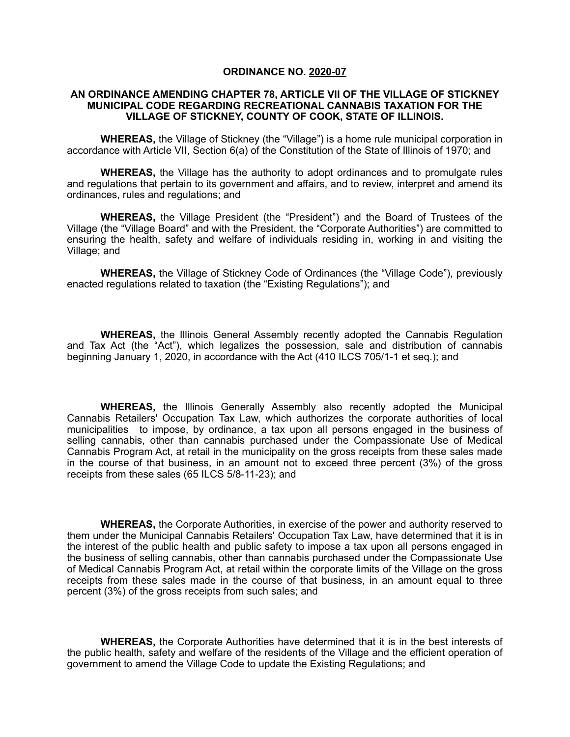### **ORDINANCE NO. 2020-07**

### **AN ORDINANCE AMENDING CHAPTER 78, ARTICLE VII OF THE VILLAGE OF STICKNEY MUNICIPAL CODE REGARDING RECREATIONAL CANNABIS TAXATION FOR THE VILLAGE OF STICKNEY, COUNTY OF COOK, STATE OF ILLINOIS.**

**WHEREAS,** the Village of Stickney (the "Village") is a home rule municipal corporation in accordance with Article VII, Section 6(a) of the Constitution of the State of Illinois of 1970; and

**WHEREAS,** the Village has the authority to adopt ordinances and to promulgate rules and regulations that pertain to its government and affairs, and to review, interpret and amend its ordinances, rules and regulations; and

**WHEREAS,** the Village President (the "President") and the Board of Trustees of the Village (the "Village Board" and with the President, the "Corporate Authorities") are committed to ensuring the health, safety and welfare of individuals residing in, working in and visiting the Village; and

**WHEREAS,** the Village of Stickney Code of Ordinances (the "Village Code"), previously enacted regulations related to taxation (the "Existing Regulations"); and

**WHEREAS,** the Illinois General Assembly recently adopted the Cannabis Regulation and Tax Act (the "Act"), which legalizes the possession, sale and distribution of cannabis beginning January 1, 2020, in accordance with the Act (410 ILCS 705/1-1 et seq.); and

**WHEREAS,** the Illinois Generally Assembly also recently adopted the Municipal Cannabis Retailers' Occupation Tax Law, which authorizes the corporate authorities of local municipalities to impose, by ordinance, a tax upon all persons engaged in the business of selling cannabis, other than cannabis purchased under the Compassionate Use of Medical Cannabis Program Act, at retail in the municipality on the gross receipts from these sales made in the course of that business, in an amount not to exceed three percent (3%) of the gross receipts from these sales (65 ILCS 5/8-11-23); and

**WHEREAS,** the Corporate Authorities, in exercise of the power and authority reserved to them under the Municipal Cannabis Retailers' Occupation Tax Law, have determined that it is in the interest of the public health and public safety to impose a tax upon all persons engaged in the business of selling cannabis, other than cannabis purchased under the Compassionate Use of Medical Cannabis Program Act, at retail within the corporate limits of the Village on the gross receipts from these sales made in the course of that business, in an amount equal to three percent (3%) of the gross receipts from such sales; and

**WHEREAS,** the Corporate Authorities have determined that it is in the best interests of the public health, safety and welfare of the residents of the Village and the efficient operation of government to amend the Village Code to update the Existing Regulations; and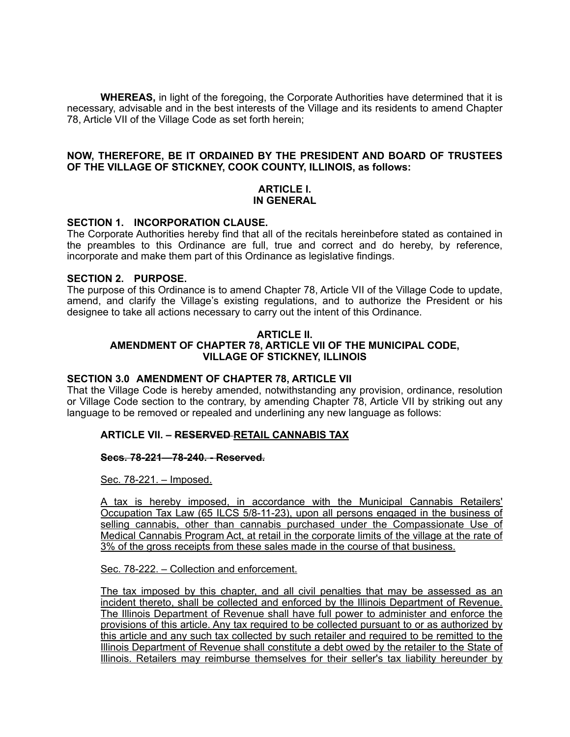**WHEREAS,** in light of the foregoing, the Corporate Authorities have determined that it is necessary, advisable and in the best interests of the Village and its residents to amend Chapter 78, Article VII of the Village Code as set forth herein;

### **NOW, THEREFORE, BE IT ORDAINED BY THE PRESIDENT AND BOARD OF TRUSTEES OF THE VILLAGE OF STICKNEY, COOK COUNTY, ILLINOIS, as follows:**

### **ARTICLE I. IN GENERAL**

### **SECTION 1. INCORPORATION CLAUSE.**

The Corporate Authorities hereby find that all of the recitals hereinbefore stated as contained in the preambles to this Ordinance are full, true and correct and do hereby, by reference, incorporate and make them part of this Ordinance as legislative findings.

### **SECTION 2. PURPOSE.**

The purpose of this Ordinance is to amend Chapter 78, Article VII of the Village Code to update, amend, and clarify the Village's existing regulations, and to authorize the President or his designee to take all actions necessary to carry out the intent of this Ordinance.

#### **ARTICLE II. AMENDMENT OF CHAPTER 78, ARTICLE VII OF THE MUNICIPAL CODE, VILLAGE OF STICKNEY, ILLINOIS**

# **SECTION 3.0 AMENDMENT OF CHAPTER 78, ARTICLE VII**

That the Village Code is hereby amended, notwithstanding any provision, ordinance, resolution or Village Code section to the contrary, by amending Chapter 78, Article VII by striking out any language to be removed or repealed and underlining any new language as follows:

# **ARTICLE VII. – RESERVED RETAIL CANNABIS TAX**

#### **Secs. 78-221—78-240. - Reserved.**

Sec. 78-221. – Imposed.

A tax is hereby imposed, in accordance with the Municipal Cannabis Retailers' Occupation Tax Law (65 ILCS 5/8-11-23), upon all persons engaged in the business of selling cannabis, other than cannabis purchased under the Compassionate Use of Medical Cannabis Program Act, at retail in the corporate limits of the village at the rate of 3% of the gross receipts from these sales made in the course of that business.

Sec. 78-222. – Collection and enforcement.

The tax imposed by this chapter, and all civil penalties that may be assessed as an incident thereto, shall be collected and enforced by the Illinois Department of Revenue. The Illinois Department of Revenue shall have full power to administer and enforce the provisions of this article. Any tax required to be collected pursuant to or as authorized by this article and any such tax collected by such retailer and required to be remitted to the Illinois Department of Revenue shall constitute a debt owed by the retailer to the State of Illinois. Retailers may reimburse themselves for their seller's tax liability hereunder by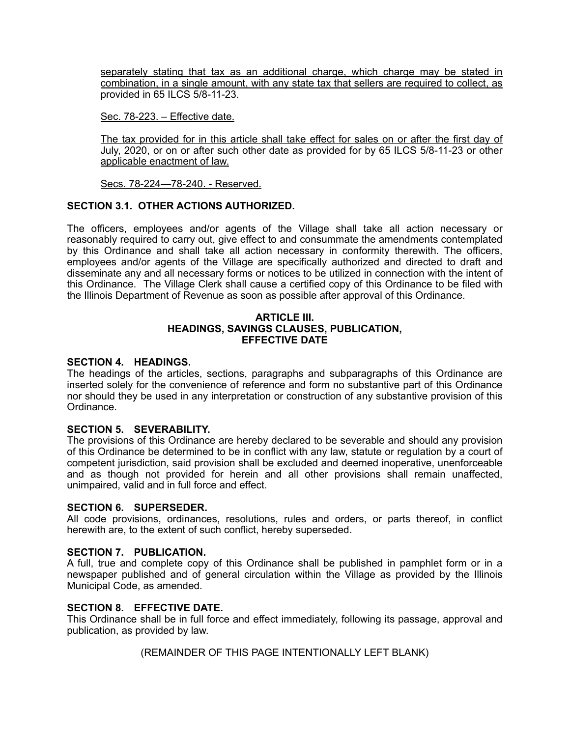separately stating that tax as an additional charge, which charge may be stated in combination, in a single amount, with any state tax that sellers are required to collect, as provided in 65 ILCS 5/8-11-23.

Sec. 78-223. – Effective date.

The tax provided for in this article shall take effect for sales on or after the first day of July, 2020, or on or after such other date as provided for by 65 ILCS 5/8-11-23 or other applicable enactment of law.

Secs. 78-224—78-240. - Reserved.

# **SECTION 3.1. OTHER ACTIONS AUTHORIZED.**

The officers, employees and/or agents of the Village shall take all action necessary or reasonably required to carry out, give effect to and consummate the amendments contemplated by this Ordinance and shall take all action necessary in conformity therewith. The officers, employees and/or agents of the Village are specifically authorized and directed to draft and disseminate any and all necessary forms or notices to be utilized in connection with the intent of this Ordinance. The Village Clerk shall cause a certified copy of this Ordinance to be filed with the Illinois Department of Revenue as soon as possible after approval of this Ordinance.

### **ARTICLE III. HEADINGS, SAVINGS CLAUSES, PUBLICATION, EFFECTIVE DATE**

# **SECTION 4. HEADINGS.**

The headings of the articles, sections, paragraphs and subparagraphs of this Ordinance are inserted solely for the convenience of reference and form no substantive part of this Ordinance nor should they be used in any interpretation or construction of any substantive provision of this Ordinance.

# **SECTION 5. SEVERABILITY.**

The provisions of this Ordinance are hereby declared to be severable and should any provision of this Ordinance be determined to be in conflict with any law, statute or regulation by a court of competent jurisdiction, said provision shall be excluded and deemed inoperative, unenforceable and as though not provided for herein and all other provisions shall remain unaffected, unimpaired, valid and in full force and effect.

# **SECTION 6. SUPERSEDER.**

All code provisions, ordinances, resolutions, rules and orders, or parts thereof, in conflict herewith are, to the extent of such conflict, hereby superseded.

# **SECTION 7. PUBLICATION.**

A full, true and complete copy of this Ordinance shall be published in pamphlet form or in a newspaper published and of general circulation within the Village as provided by the Illinois Municipal Code, as amended.

# **SECTION 8. EFFECTIVE DATE.**

This Ordinance shall be in full force and effect immediately, following its passage, approval and publication, as provided by law.

(REMAINDER OF THIS PAGE INTENTIONALLY LEFT BLANK)